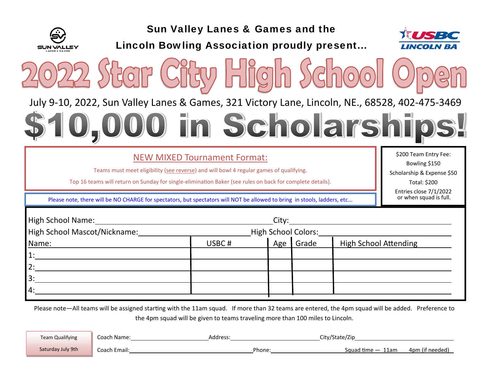

Sun Valley Lanes & Games and the

Lincoln Bowling Association proudly present...





July 9‐10, 2022, Sun Valley Lanes & Games, 321 Victory Lane, Lincoln, NE., 68528, 402‐475‐3469

## 0 in Scholarship

## NEW MIXED Tournament Format:

Teams must meet eligibility (see reverse) and will bowl 4 regular games of qualifying.

Top 16 teams will return on Sunday for single-elimination Baker (see rules on back for complete details).

\$200 Team Entry Fee: Bowling \$150 Scholarship & Expense \$50 Total: \$200 Entries close 7/1/2022<br>or when squad is full.

Please note, there will be NO CHARGE for spectators, but spectators will NOT be allowed to bring in stools, ladders, etc...

| High School Name:<br>High School Mascot/Nickname:<br>City: |  |  |                              |  |  |
|------------------------------------------------------------|--|--|------------------------------|--|--|
| High School Colors:                                        |  |  |                              |  |  |
| USBC#                                                      |  |  | <b>High School Attending</b> |  |  |
|                                                            |  |  |                              |  |  |
|                                                            |  |  |                              |  |  |
|                                                            |  |  |                              |  |  |
|                                                            |  |  |                              |  |  |
|                                                            |  |  | Age Grade                    |  |  |

Please note—All teams will be assigned starting with the 11am squad. If more than 32 teams are entered, the 4pm squad will be added. Preference to the 4pm squad will be given to teams traveling more than 100 miles to Lincoln.

| <b>Team Qualifying</b> | Coach Name:  | Address. | City/State/Zip |                         |
|------------------------|--------------|----------|----------------|-------------------------|
| Saturday July 9th      | Coach Email: | Phone    | Sauad time     | 4pm (if needed'<br>11am |